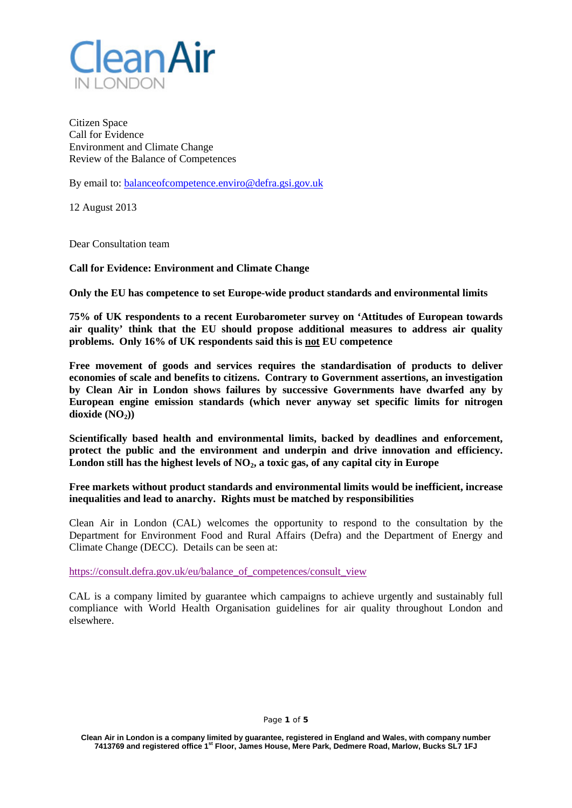

Citizen Space Call for Evidence Environment and Climate Change Review of the Balance of Competences

By email to: **balanceofcompetence.enviro@defra.gsi.gov.uk** 

12 August 2013

Dear Consultation team

**Call for Evidence: Environment and Climate Change**

**Only the EU has competence to set Europe-wide product standards and environmental limits** 

**75% of UK respondents to a recent Eurobarometer survey on 'Attitudes of European towards air quality' think that the EU should propose additional measures to address air quality problems. Only 16% of UK respondents said this is not EU competence**

**Free movement of goods and services requires the standardisation of products to deliver economies of scale and benefits to citizens. Contrary to Government assertions, an investigation by Clean Air in London shows failures by successive Governments have dwarfed any by European engine emission standards (which never anyway set specific limits for nitrogen**   $div side (NO<sub>2</sub>))$ 

**Scientifically based health and environmental limits, backed by deadlines and enforcement, protect the public and the environment and underpin and drive innovation and efficiency.**  London still has the highest levels of NO<sub>2</sub>, a toxic gas, of any capital city in Europe

**Free markets without product standards and environmental limits would be inefficient, increase inequalities and lead to anarchy. Rights must be matched by responsibilities**

Clean Air in London (CAL) welcomes the opportunity to respond to the consultation by the Department for Environment Food and Rural Affairs (Defra) and the Department of Energy and Climate Change (DECC). Details can be seen at:

[https://consult.defra.gov.uk/eu/balance\\_of\\_competences/consult\\_view](https://consult.defra.gov.uk/eu/balance_of_competences/consult_view)

CAL is a company limited by guarantee which campaigns to achieve urgently and sustainably full compliance with World Health Organisation guidelines for air quality throughout London and elsewhere.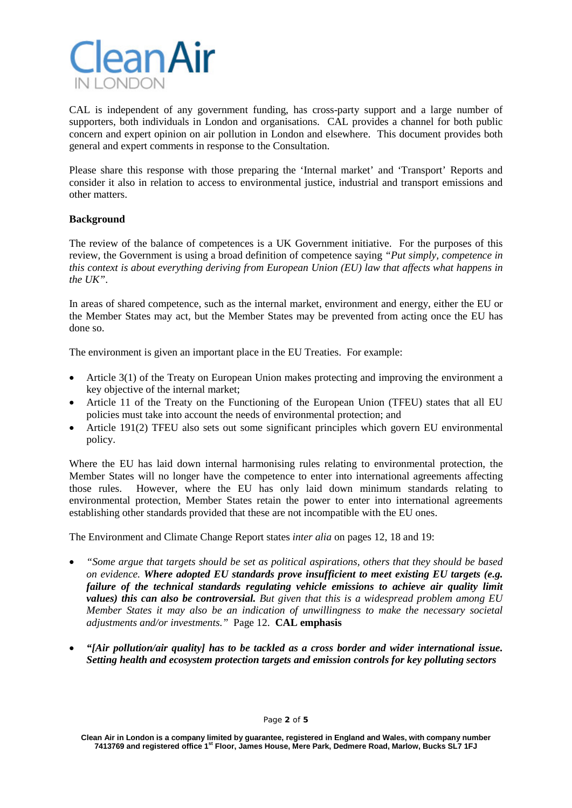

CAL is independent of any government funding, has cross-party support and a large number of supporters, both individuals in London and organisations. CAL provides a channel for both public concern and expert opinion on air pollution in London and elsewhere. This document provides both general and expert comments in response to the Consultation.

Please share this response with those preparing the 'Internal market' and 'Transport' Reports and consider it also in relation to access to environmental justice, industrial and transport emissions and other matters.

# **Background**

The review of the balance of competences is a UK Government initiative. For the purposes of this review, the Government is using a broad definition of competence saying *"Put simply, competence in this context is about everything deriving from European Union (EU) law that affects what happens in the UK"*.

In areas of shared competence, such as the internal market, environment and energy, either the EU or the Member States may act, but the Member States may be prevented from acting once the EU has done so.

The environment is given an important place in the EU Treaties. For example:

- Article 3(1) of the Treaty on European Union makes protecting and improving the environment a key objective of the internal market;
- Article 11 of the Treaty on the Functioning of the European Union (TFEU) states that all EU policies must take into account the needs of environmental protection; and
- Article 191(2) TFEU also sets out some significant principles which govern EU environmental policy.

Where the EU has laid down internal harmonising rules relating to environmental protection, the Member States will no longer have the competence to enter into international agreements affecting those rules. However, where the EU has only laid down minimum standards relating to environmental protection, Member States retain the power to enter into international agreements establishing other standards provided that these are not incompatible with the EU ones.

The Environment and Climate Change Report states *inter alia* on pages 12, 18 and 19:

- *"Some argue that targets should be set as political aspirations, others that they should be based on evidence. Where adopted EU standards prove insufficient to meet existing EU targets (e.g. failure of the technical standards regulating vehicle emissions to achieve air quality limit values) this can also be controversial. But given that this is a widespread problem among EU Member States it may also be an indication of unwillingness to make the necessary societal adjustments and/or investments."* Page 12. **CAL emphasis**
- *"[Air pollution/air quality] has to be tackled as a cross border and wider international issue. Setting health and ecosystem protection targets and emission controls for key polluting sectors*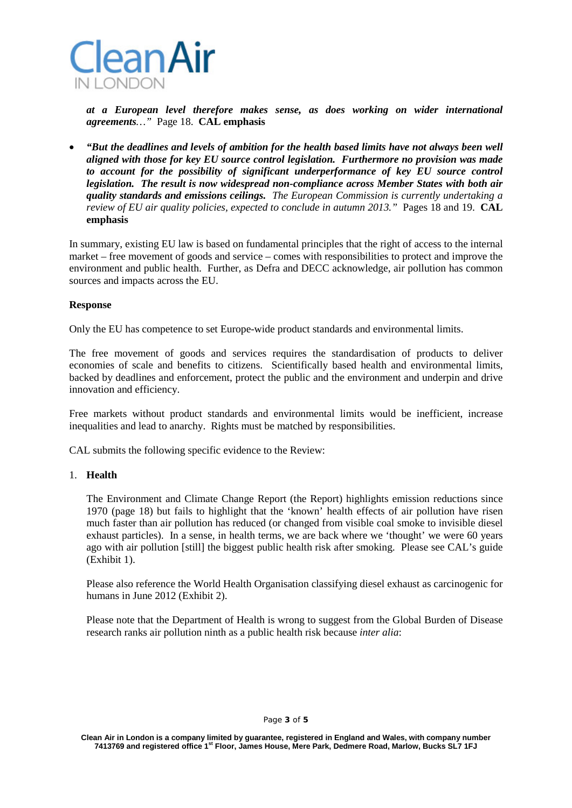

*at a European level therefore makes sense, as does working on wider international agreements…"* Page 18. **CAL emphasis**

• *"But the deadlines and levels of ambition for the health based limits have not always been well aligned with those for key EU source control legislation. Furthermore no provision was made to account for the possibility of significant underperformance of key EU source control legislation. The result is now widespread non-compliance across Member States with both air quality standards and emissions ceilings. The European Commission is currently undertaking a review of EU air quality policies, expected to conclude in autumn 2013."* Pages 18 and 19. **CAL emphasis**

In summary, existing EU law is based on fundamental principles that the right of access to the internal market – free movement of goods and service – comes with responsibilities to protect and improve the environment and public health. Further, as Defra and DECC acknowledge, air pollution has common sources and impacts across the EU.

### **Response**

Only the EU has competence to set Europe-wide product standards and environmental limits.

The free movement of goods and services requires the standardisation of products to deliver economies of scale and benefits to citizens. Scientifically based health and environmental limits, backed by deadlines and enforcement, protect the public and the environment and underpin and drive innovation and efficiency.

Free markets without product standards and environmental limits would be inefficient, increase inequalities and lead to anarchy. Rights must be matched by responsibilities.

CAL submits the following specific evidence to the Review:

#### 1. **Health**

The Environment and Climate Change Report (the Report) highlights emission reductions since 1970 (page 18) but fails to highlight that the 'known' health effects of air pollution have risen much faster than air pollution has reduced (or changed from visible coal smoke to invisible diesel exhaust particles). In a sense, in health terms, we are back where we 'thought' we were 60 years ago with air pollution [still] the biggest public health risk after smoking. Please see CAL's guide (Exhibit 1).

Please also reference the World Health Organisation classifying diesel exhaust as carcinogenic for humans in June 2012 (Exhibit 2).

Please note that the Department of Health is wrong to suggest from the Global Burden of Disease research ranks air pollution ninth as a public health risk because *inter alia*: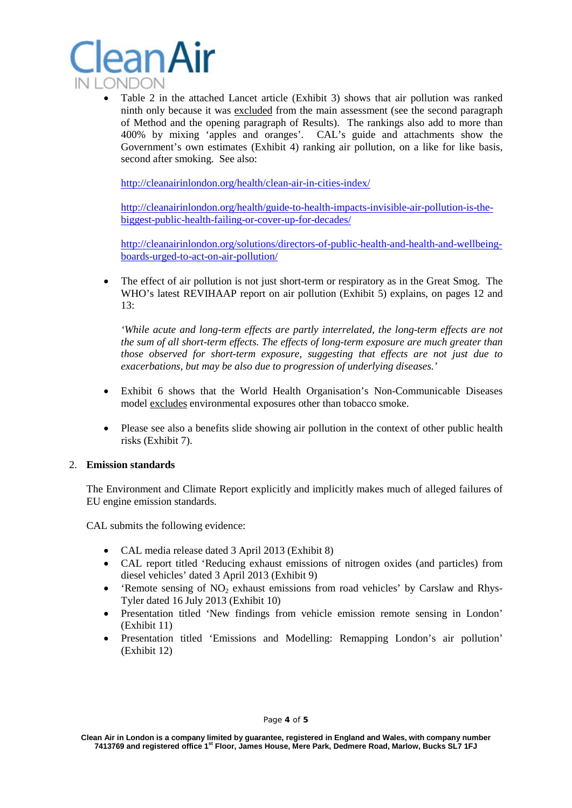

• Table 2 in the attached Lancet article (Exhibit 3) shows that air pollution was ranked ninth only because it was excluded from the main assessment (see the second paragraph of Method and the opening paragraph of Results). The rankings also add to more than 400% by mixing 'apples and oranges'. CAL's guide and attachments show the Government's own estimates (Exhibit 4) ranking air pollution, on a like for like basis, second after smoking. See also:

<http://cleanairinlondon.org/health/clean-air-in-cities-index/>

[http://cleanairinlondon.org/health/guide-to-health-impacts-invisible-air-pollution-is-the](http://cleanairinlondon.org/health/guide-to-health-impacts-invisible-air-pollution-is-the-biggest-public-health-failing-or-cover-up-for-decades/)[biggest-public-health-failing-or-cover-up-for-decades/](http://cleanairinlondon.org/health/guide-to-health-impacts-invisible-air-pollution-is-the-biggest-public-health-failing-or-cover-up-for-decades/)

[http://cleanairinlondon.org/solutions/directors-of-public-health-and-health-and-wellbeing](http://cleanairinlondon.org/solutions/directors-of-public-health-and-health-and-wellbeing-boards-urged-to-act-on-air-pollution/)[boards-urged-to-act-on-air-pollution/](http://cleanairinlondon.org/solutions/directors-of-public-health-and-health-and-wellbeing-boards-urged-to-act-on-air-pollution/)

• The effect of air pollution is not just short-term or respiratory as in the Great Smog. The WHO's latest REVIHAAP report on air pollution (Exhibit 5) explains, on pages 12 and 13:

*'While acute and long-term effects are partly interrelated, the long-term effects are not the sum of all short-term effects. The effects of long-term exposure are much greater than those observed for short-term exposure, suggesting that effects are not just due to exacerbations, but may be also due to progression of underlying diseases.'*

- Exhibit 6 shows that the World Health Organisation's Non-Communicable Diseases model excludes environmental exposures other than tobacco smoke.
- Please see also a benefits slide showing air pollution in the context of other public health risks (Exhibit 7).

## 2. **Emission standards**

The Environment and Climate Report explicitly and implicitly makes much of alleged failures of EU engine emission standards.

CAL submits the following evidence:

- CAL media release dated 3 April 2013 (Exhibit 8)
- CAL report titled 'Reducing exhaust emissions of nitrogen oxides (and particles) from diesel vehicles' dated 3 April 2013 (Exhibit 9)
- 'Remote sensing of  $NO<sub>2</sub>$  exhaust emissions from road vehicles' by Carslaw and Rhys-Tyler dated 16 July 2013 (Exhibit 10)
- Presentation titled 'New findings from vehicle emission remote sensing in London' (Exhibit 11)
- Presentation titled 'Emissions and Modelling: Remapping London's air pollution' (Exhibit 12)